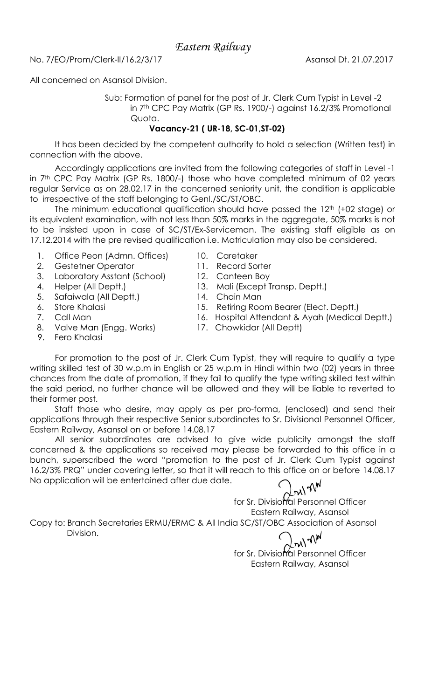Eastern Railway

No. 7/EO/Prom/Clerk-II/16.2/3/17 Asansol Dt. 21.07.2017

All concerned on Asansol Division.

Sub: Formation of panel for the post of Jr. Clerk Cum Typist in Level -2 in 7th CPC Pay Matrix (GP Rs. 1900/-) against 16.2/3% Promotional Quota.

## Vacancy-21 ( UR-18, SC-01,ST-02)

It has been decided by the competent authority to hold a selection (Written test) in connection with the above.

Accordingly applications are invited from the following categories of staff in Level -1 in 7<sup>th</sup> CPC Pay Matrix (GP Rs. 1800/-) those who have completed minimum of 02 years regular Service as on 28.02.17 in the concerned seniority unit, the condition is applicable to irrespective of the staff belonging to Genl./SC/ST/OBC.

The minimum educational qualification should have passed the 12<sup>th</sup> (+02 stage) or its equivalent examination, with not less than 50% marks in the aggregate, 50% marks is not to be insisted upon in case of SC/ST/Ex-Serviceman. The existing staff eligible as on 17.12.2014 with the pre revised qualification i.e. Matriculation may also be considered.

- 1. Office Peon (Admn. Offices) 10. Caretaker
- 2. Gestetner Operator 11. Record Sorter
- 3. Laboratory Asstant (School) 12. Canteen Boy
- 
- 5. Safaiwala (All Deptt.) 14. Chain Man
- 
- 
- 8. Valve Man (Engg. Works) 17. Chowkidar (All Deptt)
- 
- 
- 
- 4. Helper (All Deptt.) 13. Mali (Except Transp. Deptt.)
	-
- 6. Store Khalasi 15. Retiring Room Bearer (Elect. Deptt.)
- 7. Call Man 16. Hospital Attendant & Ayah (Medical Deptt.)
	-

9. Fero Khalasi

For promotion to the post of Jr. Clerk Cum Typist, they will require to qualify a type writing skilled test of 30 w.p.m in English or 25 w.p.m in Hindi within two (02) years in three chances from the date of promotion, if they fail to qualify the type writing skilled test within the said period, no further chance will be allowed and they will be liable to reverted to their former post.

Staff those who desire, may apply as per pro-forma, (enclosed) and send their applications through their respective Senior subordinates to Sr. Divisional Personnel Officer, Eastern Railway, Asansol on or before 14.08.17

All senior subordinates are advised to give wide publicity amongst the staff concerned & the applications so received may please be forwarded to this office in a bunch, superscribed the word "promotion to the post of Jr. Clerk Cum Typist against 16.2/3% PRQ" under covering letter, so that it will reach to this office on or before 14.08.17 No application will be entertained after due date.

**Dryl TM** 

for Sr. Divisional Personnel Officer Eastern Railway, Asansol

Copy to: Branch Secretaries ERMU/ERMC & All India SC/ST/OBC Association of Asansol Division.

nt nd

for Sr. Divisional Personnel Officer Eastern Railway, Asansol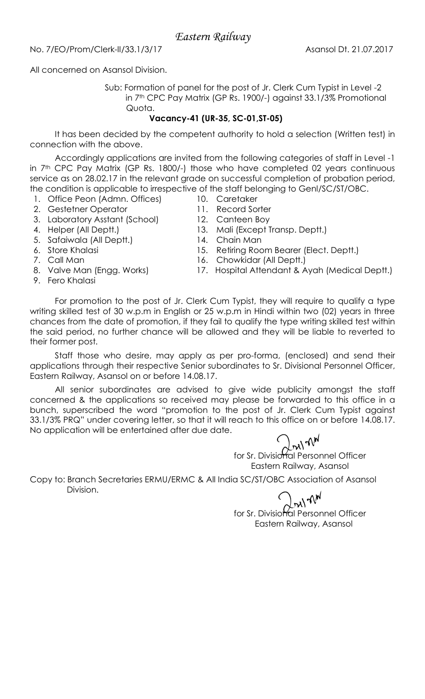Eastern Railway

No. 7/EO/Prom/Clerk-II/33.1/3/17 Asansol Dt. 21.07.2017

All concerned on Asansol Division.

Sub: Formation of panel for the post of Jr. Clerk Cum Typist in Level -2 in 7th CPC Pay Matrix (GP Rs. 1900/-) against 33.1/3% Promotional Quota.

## Vacancy-41 (UR-35, SC-01,ST-05)

It has been decided by the competent authority to hold a selection (Written test) in connection with the above.

Accordingly applications are invited from the following categories of staff in Level -1 in 7<sup>th</sup> CPC Pay Matrix (GP Rs. 1800/-) those who have completed 02 years continuous service as on 28.02.17 in the relevant grade on successful completion of probation period, the condition is applicable to irrespective of the staff belonging to Genl/SC/ST/OBC.

- 1. Office Peon (Admn. Offices) 10. Caretaker
- 2. Gestetner Operator 11. Record Sorter
- 3. Laboratory Asstant (School) 12. Canteen Boy
- 
- 5. Safaiwala (All Deptt.) 14. Chain Man
- 
- 
- 
- 9. Fero Khalasi
- 
- 
- 
- 4. Helper (All Deptt.) 13. Mali (Except Transp. Deptt.)
	-
- 6. Store Khalasi 15. Retiring Room Bearer (Elect. Deptt.)
- 7. Call Man 16. Chowkidar (All Deptt.)
- 8. Valve Man (Engg. Works) 17. Hospital Attendant & Ayah (Medical Deptt.)

For promotion to the post of Jr. Clerk Cum Typist, they will require to qualify a type writing skilled test of 30 w.p.m in English or 25 w.p.m in Hindi within two (02) years in three chances from the date of promotion, if they fail to qualify the type writing skilled test within the said period, no further chance will be allowed and they will be liable to reverted to their former post.

Staff those who desire, may apply as per pro-forma, (enclosed) and send their applications through their respective Senior subordinates to Sr. Divisional Personnel Officer, Eastern Railway, Asansol on or before 14.08.17.

All senior subordinates are advised to give wide publicity amongst the staff concerned & the applications so received may please be forwarded to this office in a bunch, superscribed the word "promotion to the post of Jr. Clerk Cum Typist against 33.1/3% PRQ" under covering letter, so that it will reach to this office on or before 14.08.17. No application will be entertained after due date.

for Sr. Divisional Personnel Officer Eastern Railway, Asansol

Copy to: Branch Secretaries ERMU/ERMC & All India SC/ST/OBC Association of Asansol Division.

byl nW

for Sr. Divisional Personnel Officer Eastern Railway, Asansol